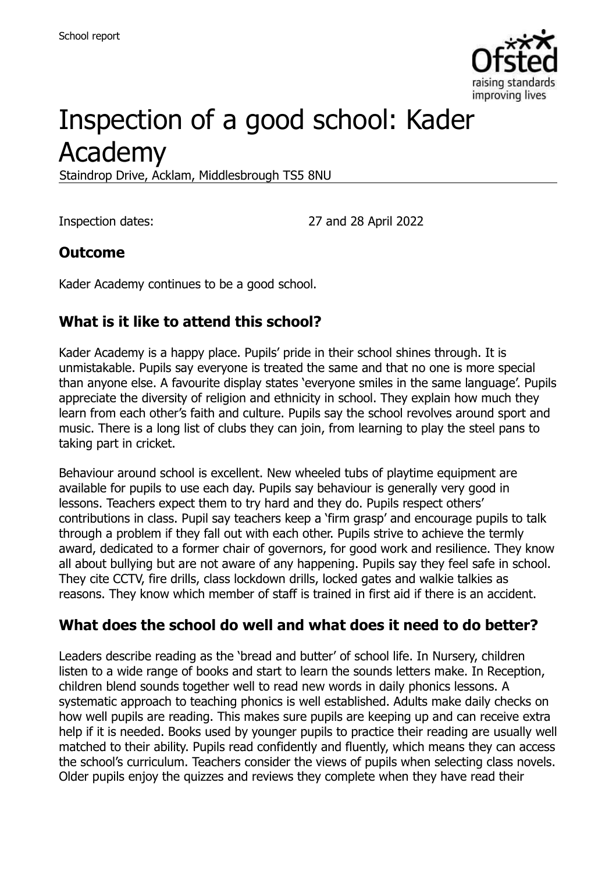

# Inspection of a good school: Kader Academy

Staindrop Drive, Acklam, Middlesbrough TS5 8NU

Inspection dates: 27 and 28 April 2022

#### **Outcome**

Kader Academy continues to be a good school.

#### **What is it like to attend this school?**

Kader Academy is a happy place. Pupils' pride in their school shines through. It is unmistakable. Pupils say everyone is treated the same and that no one is more special than anyone else. A favourite display states 'everyone smiles in the same language'. Pupils appreciate the diversity of religion and ethnicity in school. They explain how much they learn from each other's faith and culture. Pupils say the school revolves around sport and music. There is a long list of clubs they can join, from learning to play the steel pans to taking part in cricket.

Behaviour around school is excellent. New wheeled tubs of playtime equipment are available for pupils to use each day. Pupils say behaviour is generally very good in lessons. Teachers expect them to try hard and they do. Pupils respect others' contributions in class. Pupil say teachers keep a 'firm grasp' and encourage pupils to talk through a problem if they fall out with each other. Pupils strive to achieve the termly award, dedicated to a former chair of governors, for good work and resilience. They know all about bullying but are not aware of any happening. Pupils say they feel safe in school. They cite CCTV, fire drills, class lockdown drills, locked gates and walkie talkies as reasons. They know which member of staff is trained in first aid if there is an accident.

#### **What does the school do well and what does it need to do better?**

Leaders describe reading as the 'bread and butter' of school life. In Nursery, children listen to a wide range of books and start to learn the sounds letters make. In Reception, children blend sounds together well to read new words in daily phonics lessons. A systematic approach to teaching phonics is well established. Adults make daily checks on how well pupils are reading. This makes sure pupils are keeping up and can receive extra help if it is needed. Books used by younger pupils to practice their reading are usually well matched to their ability. Pupils read confidently and fluently, which means they can access the school's curriculum. Teachers consider the views of pupils when selecting class novels. Older pupils enjoy the quizzes and reviews they complete when they have read their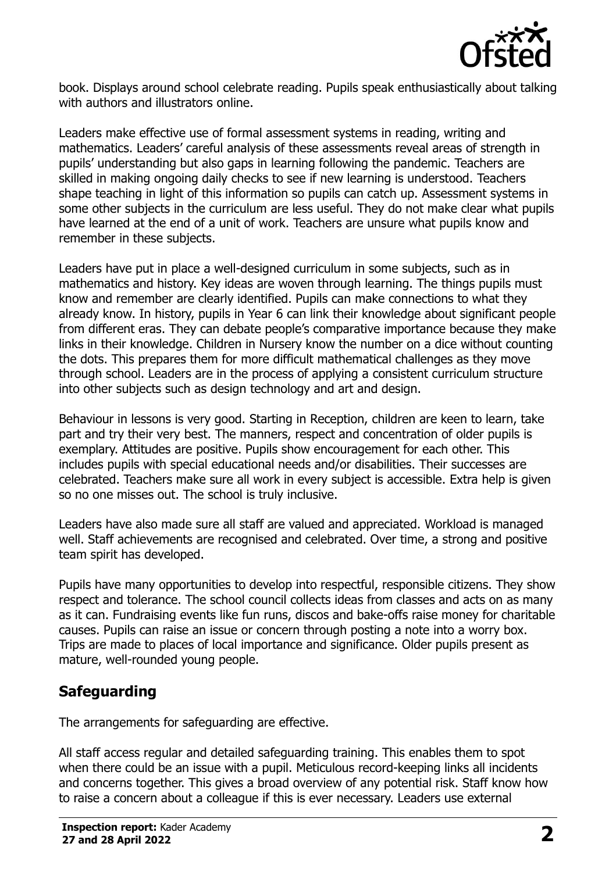

book. Displays around school celebrate reading. Pupils speak enthusiastically about talking with authors and illustrators online.

Leaders make effective use of formal assessment systems in reading, writing and mathematics. Leaders' careful analysis of these assessments reveal areas of strength in pupils' understanding but also gaps in learning following the pandemic. Teachers are skilled in making ongoing daily checks to see if new learning is understood. Teachers shape teaching in light of this information so pupils can catch up. Assessment systems in some other subjects in the curriculum are less useful. They do not make clear what pupils have learned at the end of a unit of work. Teachers are unsure what pupils know and remember in these subjects.

Leaders have put in place a well-designed curriculum in some subjects, such as in mathematics and history. Key ideas are woven through learning. The things pupils must know and remember are clearly identified. Pupils can make connections to what they already know. In history, pupils in Year 6 can link their knowledge about significant people from different eras. They can debate people's comparative importance because they make links in their knowledge. Children in Nursery know the number on a dice without counting the dots. This prepares them for more difficult mathematical challenges as they move through school. Leaders are in the process of applying a consistent curriculum structure into other subjects such as design technology and art and design.

Behaviour in lessons is very good. Starting in Reception, children are keen to learn, take part and try their very best. The manners, respect and concentration of older pupils is exemplary. Attitudes are positive. Pupils show encouragement for each other. This includes pupils with special educational needs and/or disabilities. Their successes are celebrated. Teachers make sure all work in every subject is accessible. Extra help is given so no one misses out. The school is truly inclusive.

Leaders have also made sure all staff are valued and appreciated. Workload is managed well. Staff achievements are recognised and celebrated. Over time, a strong and positive team spirit has developed.

Pupils have many opportunities to develop into respectful, responsible citizens. They show respect and tolerance. The school council collects ideas from classes and acts on as many as it can. Fundraising events like fun runs, discos and bake-offs raise money for charitable causes. Pupils can raise an issue or concern through posting a note into a worry box. Trips are made to places of local importance and significance. Older pupils present as mature, well-rounded young people.

#### **Safeguarding**

The arrangements for safeguarding are effective.

All staff access regular and detailed safeguarding training. This enables them to spot when there could be an issue with a pupil. Meticulous record-keeping links all incidents and concerns together. This gives a broad overview of any potential risk. Staff know how to raise a concern about a colleague if this is ever necessary. Leaders use external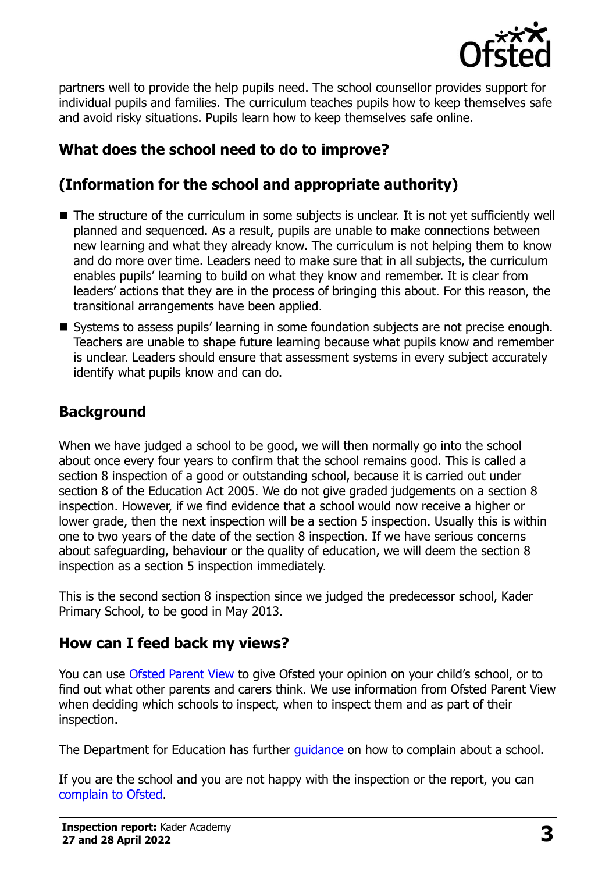

partners well to provide the help pupils need. The school counsellor provides support for individual pupils and families. The curriculum teaches pupils how to keep themselves safe and avoid risky situations. Pupils learn how to keep themselves safe online.

# **What does the school need to do to improve?**

# **(Information for the school and appropriate authority)**

- The structure of the curriculum in some subjects is unclear. It is not yet sufficiently well planned and sequenced. As a result, pupils are unable to make connections between new learning and what they already know. The curriculum is not helping them to know and do more over time. Leaders need to make sure that in all subjects, the curriculum enables pupils' learning to build on what they know and remember. It is clear from leaders' actions that they are in the process of bringing this about. For this reason, the transitional arrangements have been applied.
- Systems to assess pupils' learning in some foundation subjects are not precise enough. Teachers are unable to shape future learning because what pupils know and remember is unclear. Leaders should ensure that assessment systems in every subject accurately identify what pupils know and can do.

#### **Background**

When we have judged a school to be good, we will then normally go into the school about once every four years to confirm that the school remains good. This is called a section 8 inspection of a good or outstanding school, because it is carried out under section 8 of the Education Act 2005. We do not give graded judgements on a section 8 inspection. However, if we find evidence that a school would now receive a higher or lower grade, then the next inspection will be a section 5 inspection. Usually this is within one to two years of the date of the section 8 inspection. If we have serious concerns about safeguarding, behaviour or the quality of education, we will deem the section 8 inspection as a section 5 inspection immediately.

This is the second section 8 inspection since we judged the predecessor school, Kader Primary School, to be good in May 2013.

#### **How can I feed back my views?**

You can use [Ofsted Parent View](https://parentview.ofsted.gov.uk/) to give Ofsted your opinion on your child's school, or to find out what other parents and carers think. We use information from Ofsted Parent View when deciding which schools to inspect, when to inspect them and as part of their inspection.

The Department for Education has further quidance on how to complain about a school.

If you are the school and you are not happy with the inspection or the report, you can [complain to Ofsted.](https://www.gov.uk/complain-ofsted-report)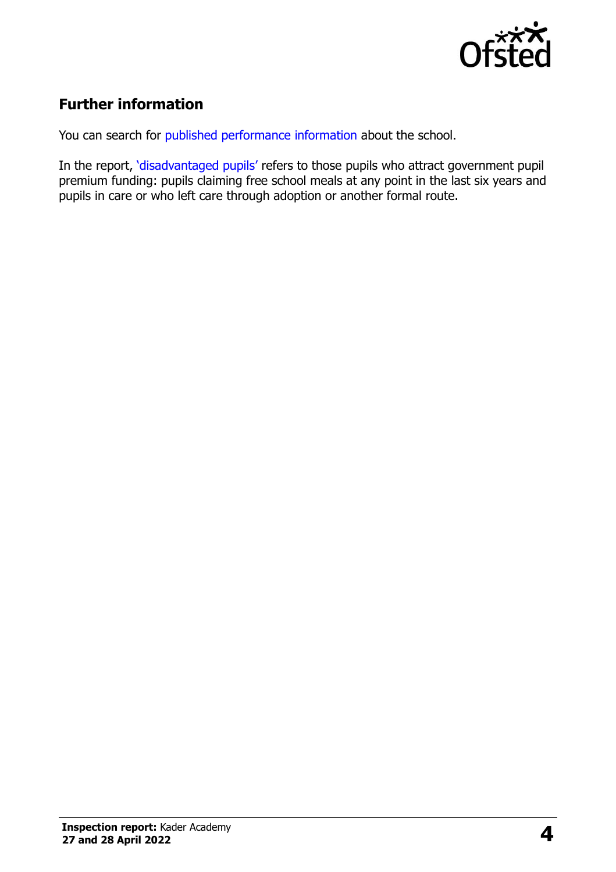

## **Further information**

You can search for [published performance information](http://www.compare-school-performance.service.gov.uk/) about the school.

In the report, '[disadvantaged pupils](http://www.gov.uk/guidance/pupil-premium-information-for-schools-and-alternative-provision-settings)' refers to those pupils who attract government pupil premium funding: pupils claiming free school meals at any point in the last six years and pupils in care or who left care through adoption or another formal route.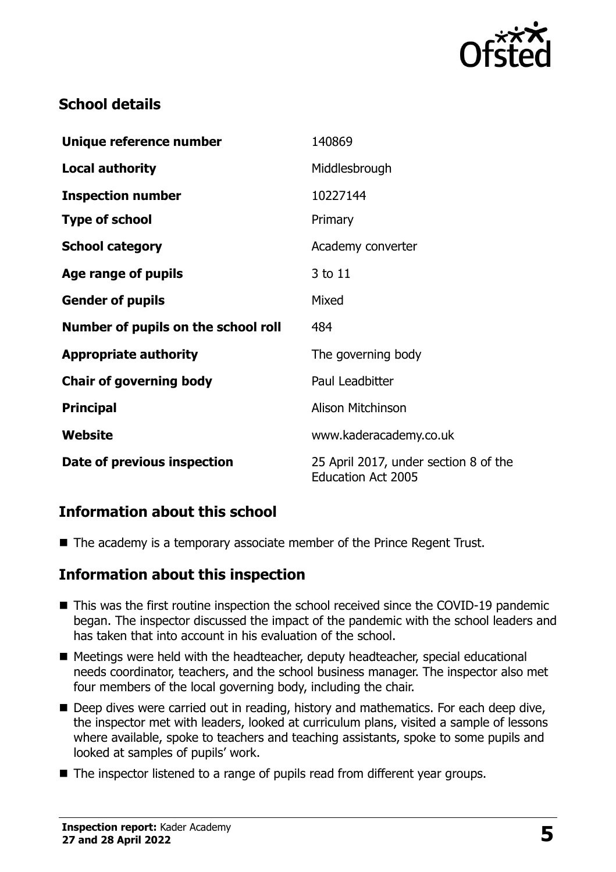

## **School details**

| Unique reference number             | 140869                                                             |
|-------------------------------------|--------------------------------------------------------------------|
| <b>Local authority</b>              | Middlesbrough                                                      |
| <b>Inspection number</b>            | 10227144                                                           |
| <b>Type of school</b>               | Primary                                                            |
| <b>School category</b>              | Academy converter                                                  |
| Age range of pupils                 | 3 to 11                                                            |
| <b>Gender of pupils</b>             | Mixed                                                              |
| Number of pupils on the school roll | 484                                                                |
| <b>Appropriate authority</b>        | The governing body                                                 |
| <b>Chair of governing body</b>      | Paul Leadbitter                                                    |
| <b>Principal</b>                    | <b>Alison Mitchinson</b>                                           |
| Website                             | www.kaderacademy.co.uk                                             |
| Date of previous inspection         | 25 April 2017, under section 8 of the<br><b>Education Act 2005</b> |

#### **Information about this school**

■ The academy is a temporary associate member of the Prince Regent Trust.

#### **Information about this inspection**

- This was the first routine inspection the school received since the COVID-19 pandemic began. The inspector discussed the impact of the pandemic with the school leaders and has taken that into account in his evaluation of the school.
- Meetings were held with the headteacher, deputy headteacher, special educational needs coordinator, teachers, and the school business manager. The inspector also met four members of the local governing body, including the chair.
- Deep dives were carried out in reading, history and mathematics. For each deep dive, the inspector met with leaders, looked at curriculum plans, visited a sample of lessons where available, spoke to teachers and teaching assistants, spoke to some pupils and looked at samples of pupils' work.
- The inspector listened to a range of pupils read from different year groups.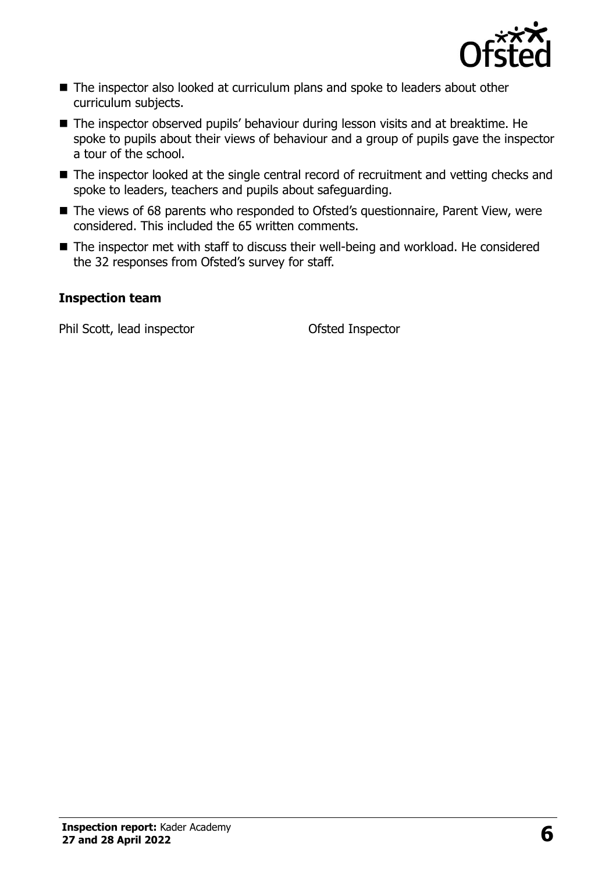

- The inspector also looked at curriculum plans and spoke to leaders about other curriculum subjects.
- The inspector observed pupils' behaviour during lesson visits and at breaktime. He spoke to pupils about their views of behaviour and a group of pupils gave the inspector a tour of the school.
- The inspector looked at the single central record of recruitment and vetting checks and spoke to leaders, teachers and pupils about safeguarding.
- The views of 68 parents who responded to Ofsted's questionnaire, Parent View, were considered. This included the 65 written comments.
- The inspector met with staff to discuss their well-being and workload. He considered the 32 responses from Ofsted's survey for staff.

#### **Inspection team**

Phil Scott, lead inspector **Contact Contact Contact Contact Contact Contact Contact Contact Contact Contact Contact Contact Contact Contact Contact Contact Contact Contact Contact Contact Contact Contact Contact Contact Co**